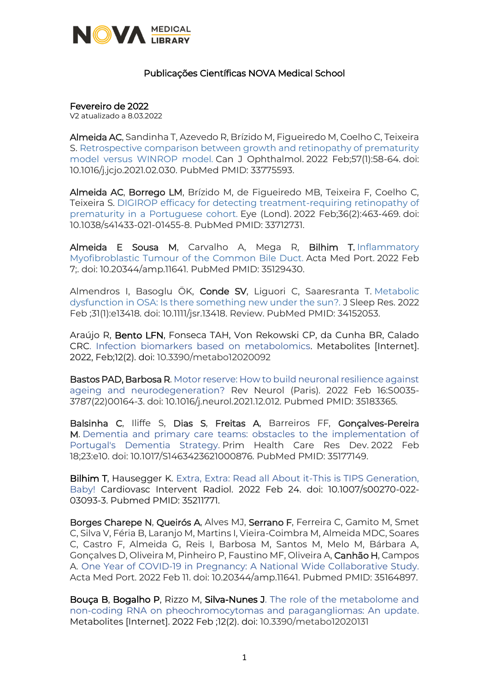

## Publicações Científicas NOVA Medical School

Fevereiro de 2022

V2 atualizado a 8.03.2022

Almeida AC, Sandinha T, Azevedo R, Brízido M, Figueiredo M, Coelho C, Teixeira S. [Retrospective comparison between growth and retinopathy of prematurity](https://www.ncbi.nlm.nih.gov/pubmed/33775593/)  [model versus WINROP model.](https://www.ncbi.nlm.nih.gov/pubmed/33775593/) Can J Ophthalmol. 2022 Feb;57(1):58-64. doi: 10.1016/j.jcjo.2021.02.030. PubMed PMID: 33775593.

Almeida AC, Borrego LM, Brízido M, de Figueiredo MB, Teixeira F, Coelho C, Teixeira S. [DIGIROP efficacy for detecting treatment-requiring retinopathy of](https://www.ncbi.nlm.nih.gov/pubmed/33712731/)  [prematurity in a Portuguese cohort.](https://www.ncbi.nlm.nih.gov/pubmed/33712731/) Eye (Lond). 2022 Feb;36(2):463-469. doi: 10.1038/s41433-021-01455-8. PubMed PMID: 33712731.

Almeida E Sousa M, Carvalho A, Mega R, Bilhim T. [Inflammatory](https://www.ncbi.nlm.nih.gov/pubmed/35129430/)  Myofibroblastic [Tumour of the Common Bile Duct.](https://www.ncbi.nlm.nih.gov/pubmed/35129430/) Acta Med Port. 2022 Feb 7;. doi: 10.20344/amp.11641. PubMed PMID: 35129430.

Almendros I, Basoglu ÖK, Conde SV, Liguori C, Saaresranta T. [Metabolic](https://www.ncbi.nlm.nih.gov/pubmed/34152053/)  [dysfunction in OSA: Is there something new under the sun?.](https://www.ncbi.nlm.nih.gov/pubmed/34152053/) J Sleep Res. 2022 Feb ;31(1):e13418. doi: 10.1111/jsr.13418. Review. PubMed PMID: 34152053.

Araújo R, Bento LFN, Fonseca TAH, Von Rekowski CP, da Cunha BR, Calado CRC. [Infection biomarkers based on metabolomics.](https://www.mdpi.com/2218-1989/12/2/92/htm) Metabolites [Internet]. 2022, Feb;12(2). doi: 10.3390/metabo12020092

**Bastos PAD, Barbosa R.** Motor reserve: How to build neuronal resilience against [ageing and neurodegeneration?](https://www.sciencedirect.com/science/article/pii/S0035378722001643?via%3Dihub) Rev Neurol (Paris). 2022 Feb 16:S0035- 3787(22)00164-3. doi: 10.1016/j.neurol.2021.12.012. Pubmed PMID: 35183365.

Balsinha C, Iliffe S, Dias S, Freitas A, Barreiros FF, Gonçalves-Pereira M. [Dementia and primary care teams: obstacles to the implementation of](https://www.ncbi.nlm.nih.gov/pubmed/35177149/)  [Portugal's Dementia Strategy.](https://www.ncbi.nlm.nih.gov/pubmed/35177149/) Prim Health Care Res Dev. 2022 Feb 18;23:e10. doi: 10.1017/S1463423621000876. PubMed PMID: 35177149.

**Bilhim T, Hausegger K.** Extra, Extra: Read all About it-This is TIPS Generation, [Baby!](https://link.springer.com/article/10.1007/s00270-022-03093-3) Cardiovasc Intervent Radiol. 2022 Feb 24. doi: 10.1007/s00270-022- 03093-3. Pubmed PMID: 35211771.

Borges Charepe N, Queirós A, Alves MJ, Serrano F, Ferreira C, Gamito M, Smet C, Silva V, Féria B, Laranjo M, Martins I, Vieira-Coimbra M, Almeida MDC, Soares C, Castro F, Almeida G, Reis I, Barbosa M, Santos M, Melo M, Bárbara A, Gonçalves D, Oliveira M, Pinheiro P, Faustino MF, Oliveira A, Canhão H, Campos A. [One Year of COVID-19 in Pregnancy: A National Wide Collaborative Study.](https://actamedicaportuguesa.com/revista/index.php/amp/article/view/16574) Acta Med Port. 2022 Feb 11. doi: 10.20344/amp.11641. Pubmed PMID: 35164897.

Bouça B, Bogalho P, Rizzo M, Silva-Nunes J. [The role of the metabolome and](https://www.mdpi.com/2218-1989/12/2/131)  [non-coding RNA on pheochromocytomas and paragangliomas: An update.](https://www.mdpi.com/2218-1989/12/2/131) Metabolites [Internet]. 2022 Feb ;12(2). doi: 10.3390/metabo12020131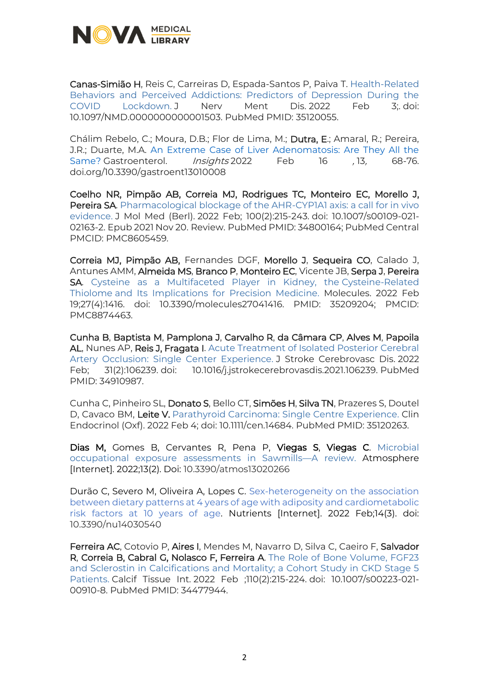

Canas-Simião H, Reis C, Carreiras D, Espada-Santos P, Paiva T. [Health-Related](https://www.ncbi.nlm.nih.gov/pubmed/35120055/)  [Behaviors and Perceived Addictions: Predictors of Depression During the](https://www.ncbi.nlm.nih.gov/pubmed/35120055/)  [COVID Lockdown.](https://www.ncbi.nlm.nih.gov/pubmed/35120055/) J Nerv Ment Dis. 2022 Feb 3;. doi: 10.1097/NMD.0000000000001503. PubMed PMID: 35120055.

Chálim Rebelo, C.; Moura, D.B.; Flor de Lima, M.; Dutra, E.; Amaral, R.; Pereira, J.R.; Duarte, M.A. [An Extreme Case of Liver Adenomatosis: Are They All the](https://www.mdpi.com/2036-7422/13/1/8/htm)  [Same?](https://www.mdpi.com/2036-7422/13/1/8/htm) Gastroenterol. *Insights* 2022 Feb 16 , 13, 68-76. doi.org/10.3390/gastroent13010008

Coelho NR, Pimpão AB, Correia MJ, Rodrigues TC, Monteiro EC, Morello J, Pereira SA. Pharmacological blockage of the AHR-CYP1A1 axis: a call for in vivo [evidence.](https://www.ncbi.nlm.nih.gov/pubmed/34800164/) J Mol Med (Berl). 2022 Feb; 100(2):215-243. doi: 10.1007/s00109-021- 02163-2. Epub 2021 Nov 20. Review. PubMed PMID: 34800164; PubMed Central PMCID: PMC8605459.

Correia MJ, Pimpão AB, Fernandes DGF, Morello J, Sequeira CO, Calado J, Antunes AMM, Almeida MS, Branco P, Monteiro EC, Vicente JB, Serpa J, Pereira SA. [Cysteine as a Multifaceted Player in Kidney, the](https://www.mdpi.com/1420-3049/27/4/1416) Cysteine-Related Thiolome [and Its Implications for Precision Medicine.](https://www.mdpi.com/1420-3049/27/4/1416) Molecules. 2022 Feb 19;27(4):1416. doi: 10.3390/molecules27041416. PMID: 35209204; PMCID: PMC8874463.

Cunha B, Baptista M, Pamplona J, Carvalho R, da Câmara CP, Alves M, Papoila AL, Nunes AP, Reis J, Fragata I. [Acute Treatment of Isolated Posterior Cerebral](https://www.ncbi.nlm.nih.gov/pubmed/34910987/)  [Artery Occlusion: Single Center Experience.](https://www.ncbi.nlm.nih.gov/pubmed/34910987/) J Stroke Cerebrovasc Dis. 2022 Feb; 31(2):106239. doi: 10.1016/j.jstrokecerebrovasdis.2021.106239. PubMed PMID: 34910987.

Cunha C, Pinheiro SL, Donato S, Bello CT, Simões H, Silva TN, Prazeres S, Doutel D, Cavaco BM, Leite V. [Parathyroid Carcinoma: Single Centre Experience.](https://www.ncbi.nlm.nih.gov/pubmed/35120263/) Clin Endocrinol (Oxf). 2022 Feb 4; doi: 10.1111/cen.14684. PubMed PMID: 35120263.

Dias M, Gomes B, Cervantes R, Pena P, Viegas S, Viegas C. [Microbial](https://www.mdpi.com/2073-4433/13/2/266)  [occupational exposure assessments in Sawmills](https://www.mdpi.com/2073-4433/13/2/266)—A review. Atmosphere [Internet]. 2022;13(2). Doi: 10.3390/atmos13020266

Durão C, Severo M, Oliveira A, Lopes C. [Sex-heterogeneity on the association](https://www.mdpi.com/2072-6643/14/3/540)  [between dietary patterns at 4 years of age with adiposity and cardiometabolic](https://www.mdpi.com/2072-6643/14/3/540)  [risk factors at 10 years of age.](https://www.mdpi.com/2072-6643/14/3/540) Nutrients [Internet]. 2022 Feb;14(3). doi: 10.3390/nu14030540

Ferreira AC, Cotovio P, Aires I, Mendes M, Navarro D, Silva C, Caeiro F, Salvador R, Correia B, Cabral G, Nolasco F, Ferreira A. [The Role of Bone Volume, FGF23](https://www.ncbi.nlm.nih.gov/pubmed/34477944/)  [and Sclerostin in Calcifications and Mortality; a Cohort Study in CKD Stage 5](https://www.ncbi.nlm.nih.gov/pubmed/34477944/)  [Patients.](https://www.ncbi.nlm.nih.gov/pubmed/34477944/) Calcif Tissue Int. 2022 Feb ;110(2):215-224. doi: 10.1007/s00223-021- 00910-8. PubMed PMID: 34477944.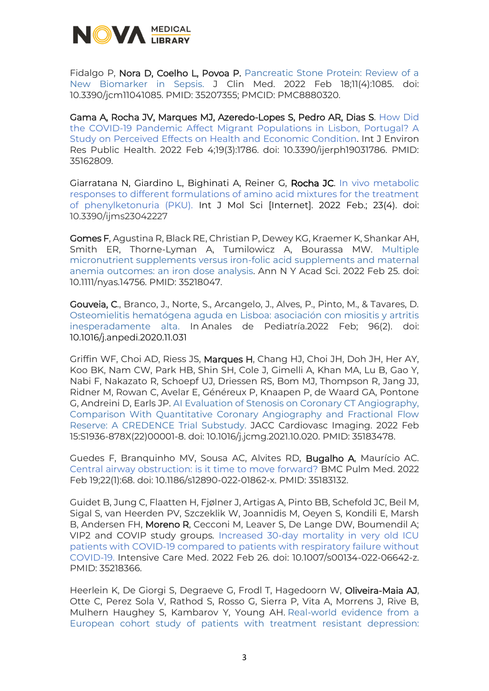

Fidalgo P, Nora D, Coelho L, Povoa P. Pancreatic Stone Protein: Review of a [New Biomarker in Sepsis.](https://www.mdpi.com/2077-0383/11/4/1085) J Clin Med. 2022 Feb 18;11(4):1085. doi: 10.3390/jcm11041085. PMID: 35207355; PMCID: PMC8880320.

Gama A, Rocha JV, Marques MJ, Azeredo-Lopes S, Pedro AR, Dias S. [How Did](https://www.mdpi.com/1660-4601/19/3/1786)  [the COVID-19 Pandemic Affect Migrant Populations in Lisbon, Portugal? A](https://www.mdpi.com/1660-4601/19/3/1786)  [Study on Perceived Effects on Health and Economic Condition.](https://www.mdpi.com/1660-4601/19/3/1786) Int J Environ Res Public Health. 2022 Feb 4;19(3):1786. doi: 10.3390/ijerph19031786. PMID: 35162809.

Giarratana N, Giardino L, Bighinati A, Reiner G, Rocha JC. [In vivo metabolic](https://www.mdpi.com/1422-0067/23/4/2227)  [responses to different formulations of amino acid mixtures for the treatment](https://www.mdpi.com/1422-0067/23/4/2227)  [of phenylketonuria \(PKU\).](https://www.mdpi.com/1422-0067/23/4/2227) Int J Mol Sci [Internet]. 2022 Feb.; 23(4). doi: 10.3390/ijms23042227

Gomes F, Agustina R, Black RE, Christian P, Dewey KG, Kraemer K, Shankar AH, Smith ER, Thorne-Lyman A, Tumilowicz A, Bourassa MW. [Multiple](https://nyaspubs.onlinelibrary.wiley.com/doi/10.1111/nyas.14756)  [micronutrient supplements versus iron-folic acid supplements and maternal](https://nyaspubs.onlinelibrary.wiley.com/doi/10.1111/nyas.14756)  [anemia outcomes: an iron dose analysis.](https://nyaspubs.onlinelibrary.wiley.com/doi/10.1111/nyas.14756) Ann N Y Acad Sci. 2022 Feb 25. doi: 10.1111/nyas.14756. PMID: 35218047.

Gouveia, C., Branco, J., Norte, S., Arcangelo, J., Alves, P., Pinto, M., & Tavares, D. [Osteomielitis hematógena aguda en Lisboa: asociación con miositis y artritis](https://www.sciencedirect.com/science/article/pii/S1695403321000011)  [inesperadamente alta.](https://www.sciencedirect.com/science/article/pii/S1695403321000011) In Anales de Pediatría.2022 Feb; 96(2). doi: 10.1016/j.anpedi.2020.11.031

Griffin WF, Choi AD, Riess JS, Marques H, Chang HJ, Choi JH, Doh JH, Her AY, Koo BK, Nam CW, Park HB, Shin SH, Cole J, Gimelli A, Khan MA, Lu B, Gao Y, Nabi F, Nakazato R, Schoepf UJ, Driessen RS, Bom MJ, Thompson R, Jang JJ, Ridner M, Rowan C, Avelar E, Généreux P, Knaapen P, de Waard GA, Pontone G, Andreini D, Earls JP. [AI Evaluation of Stenosis on Coronary CT Angiography,](https://www.sciencedirect.com/science/article/pii/S1936878X22000018?via%3Dihub)  [Comparison With Quantitative Coronary Angiography and Fractional Flow](https://www.sciencedirect.com/science/article/pii/S1936878X22000018?via%3Dihub)  [Reserve: A CREDENCE Trial Substudy.](https://www.sciencedirect.com/science/article/pii/S1936878X22000018?via%3Dihub) JACC Cardiovasc Imaging. 2022 Feb 15:S1936-878X(22)00001-8. doi: 10.1016/j.jcmg.2021.10.020. PMID: 35183478.

Guedes F, Branquinho MV, Sousa AC, Alvites RD, Bugalho A, Maurício AC. [Central airway obstruction: is it time to move forward?](https://bmcpulmmed.biomedcentral.com/track/pdf/10.1186/s12890-022-01862-x.pdf) BMC Pulm Med. 2022 Feb 19;22(1):68. doi: 10.1186/s12890-022-01862-x. PMID: 35183132.

Guidet B, Jung C, Flaatten H, Fjølner J, Artigas A, Pinto BB, Schefold JC, Beil M, Sigal S, van Heerden PV, Szczeklik W, Joannidis M, Oeyen S, Kondili E, Marsh B, Andersen FH, Moreno R, Cecconi M, Leaver S, De Lange DW, Boumendil A; VIP2 and COVIP study groups. [Increased 30-day mortality in very old ICU](https://link.springer.com/article/10.1007/s00134-022-06642-z)  [patients with COVID-19 compared to patients with respiratory failure without](https://link.springer.com/article/10.1007/s00134-022-06642-z)  [COVID-19.](https://link.springer.com/article/10.1007/s00134-022-06642-z) Intensive Care Med. 2022 Feb 26. doi: 10.1007/s00134-022-06642-z. PMID: 35218366.

Heerlein K, De Giorgi S, Degraeve G, Frodl T, Hagedoorn W, Oliveira-Maia AJ, Otte C, Perez Sola V, Rathod S, Rosso G, Sierra P, Vita A, Morrens J, Rive B, Mulhern Haughey S, Kambarov Y, Young AH. [Real-world evidence from a](https://www.ncbi.nlm.nih.gov/pubmed/34742998/)  [European cohort study of patients with treatment resistant depression:](https://www.ncbi.nlm.nih.gov/pubmed/34742998/)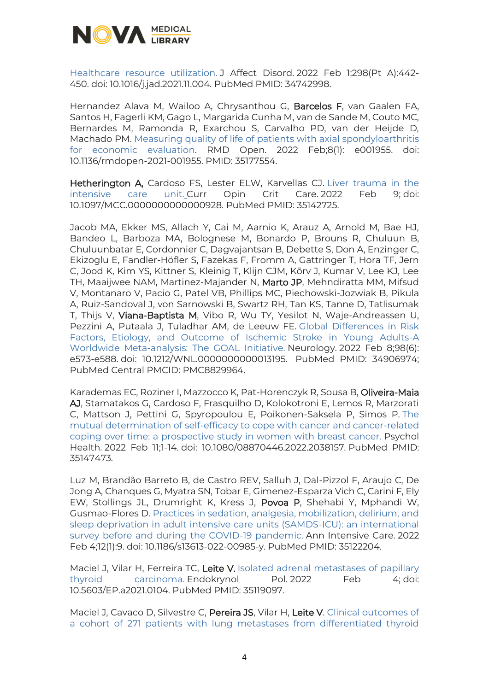

[Healthcare resource utilization.](https://www.ncbi.nlm.nih.gov/pubmed/34742998/) J Affect Disord. 2022 Feb 1;298(Pt A):442- 450. doi: 10.1016/j.jad.2021.11.004. PubMed PMID: 34742998.

Hernandez Alava M, Wailoo A, Chrysanthou G, Barcelos F, van Gaalen FA, Santos H, Fagerli KM, Gago L, Margarida Cunha M, van de Sande M, Couto MC, Bernardes M, Ramonda R, Exarchou S, Carvalho PD, van der Heijde D, Machado PM. [Measuring quality of life of patients with axial spondyloarthritis](https://rmdopen.bmj.com/content/8/1/e001955.long)  [for economic evaluation.](https://rmdopen.bmj.com/content/8/1/e001955.long) RMD Open. 2022 Feb;8(1): e001955. doi: 10.1136/rmdopen-2021-001955. PMID: 35177554.

Hetherington A, Cardoso FS, Lester ELW, Karvellas CJ. Liver trauma in the [intensive care unit.](https://www.ncbi.nlm.nih.gov/pubmed/35142725/) Curr Opin Crit Care. 2022 Feb 9; doi: 10.1097/MCC.0000000000000928. PubMed PMID: 35142725.

Jacob MA, Ekker MS, Allach Y, Cai M, Aarnio K, Arauz A, Arnold M, Bae HJ, Bandeo L, Barboza MA, Bolognese M, Bonardo P, Brouns R, Chuluun B, Chuluunbatar E, Cordonnier C, Dagvajantsan B, Debette S, Don A, Enzinger C, Ekizoglu E, Fandler-Höfler S, Fazekas F, Fromm A, Gattringer T, Hora TF, Jern C, Jood K, Kim YS, Kittner S, Kleinig T, Klijn CJM, Kõrv J, Kumar V, Lee KJ, Lee TH, Maaijwee NAM, Martinez-Majander N, Marto JP, Mehndiratta MM, Mifsud V, Montanaro V, Pacio G, Patel VB, Phillips MC, Piechowski-Jozwiak B, Pikula A, Ruiz-Sandoval J, von Sarnowski B, Swartz RH, Tan KS, Tanne D, Tatlisumak T, Thijs V, Viana-Baptista M, Vibo R, Wu TY, Yesilot N, Waje-Andreassen U, Pezzini A, Putaala J, Tuladhar AM, de Leeuw FE. [Global Differences in Risk](https://www.ncbi.nlm.nih.gov/pubmed/34906974/)  [Factors, Etiology, and Outcome of Ischemic Stroke in Young Adults-A](https://www.ncbi.nlm.nih.gov/pubmed/34906974/)  [Worldwide Meta-analysis:](https://www.ncbi.nlm.nih.gov/pubmed/34906974/) The GOAL Initiative. Neurology. 2022 Feb 8;98(6): e573-e588. doi: 10.1212/WNL.0000000000013195. PubMed PMID: 34906974; PubMed Central PMCID: PMC8829964.

Karademas EC, Roziner I, Mazzocco K, Pat-Horenczyk R, Sousa B, Oliveira-Maia AJ, Stamatakos G, Cardoso F, Frasquilho D, Kolokotroni E, Lemos R, Marzorati C, Mattson J, Pettini G, Spyropoulou E, Poikonen-Saksela P, Simos P. [The](https://www.ncbi.nlm.nih.gov/pubmed/35147473/)  [mutual determination of self-efficacy to cope with cancer and cancer-related](https://www.ncbi.nlm.nih.gov/pubmed/35147473/)  [coping over time: a prospective study in women with breast cancer.](https://www.ncbi.nlm.nih.gov/pubmed/35147473/) Psychol Health. 2022 Feb 11;1-14. doi: 10.1080/08870446.2022.2038157. PubMed PMID: 35147473.

Luz M, Brandão Barreto B, de Castro REV, Salluh J, Dal-Pizzol F, Araujo C, De Jong A, Chanques G, Myatra SN, Tobar E, Gimenez-Esparza Vich C, Carini F, Ely EW, Stollings JL, Drumright K, Kress J, Povoa P, Shehabi Y, Mphandi W, Gusmao-Flores D. [Practices in sedation, analgesia, mobilization, delirium, and](https://www.ncbi.nlm.nih.gov/pubmed/35122204/)  [sleep deprivation in adult intensive care units \(SAMDS-ICU\): an international](https://www.ncbi.nlm.nih.gov/pubmed/35122204/)  [survey before and during the COVID-19 pandemic.](https://www.ncbi.nlm.nih.gov/pubmed/35122204/) Ann Intensive Care. 2022 Feb 4;12(1):9. doi: 10.1186/s13613-022-00985-y. PubMed PMID: 35122204.

Maciel J, Vilar H, Ferreira TC, Leite V. Isolated adrenal metastases of papillary [thyroid carcinoma.](https://www.ncbi.nlm.nih.gov/pubmed/35119097/) Endokrynol Pol. 2022 Feb 4; doi: 10.5603/EP.a2021.0104. PubMed PMID: 35119097.

Maciel J, Cavaco D, Silvestre C, Pereira JS, Vilar H, Leite V. Clinical outcomes of [a cohort of 271 patients with lung metastases from differentiated thyroid](https://onlinelibrary.wiley.com/doi/10.1111/cen.14700)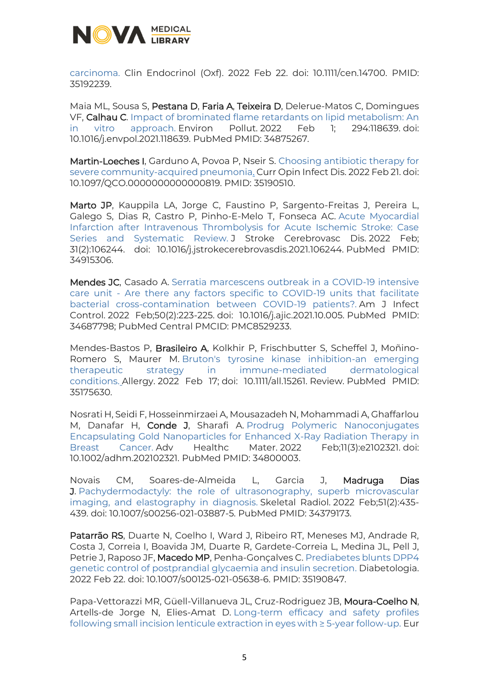

[carcinoma.](https://onlinelibrary.wiley.com/doi/10.1111/cen.14700) Clin Endocrinol (Oxf). 2022 Feb 22. doi: 10.1111/cen.14700. PMID: 35192239.

Maia ML, Sousa S, Pestana D, Faria A, Teixeira D, Delerue-Matos C, Domingues VF, Calhau C. Impact of brominated flame [retardants on lipid metabolism: An](https://www.ncbi.nlm.nih.gov/pubmed/34875267/)  [in vitro approach.](https://www.ncbi.nlm.nih.gov/pubmed/34875267/) Environ Pollut. 2022 Feb 1; 294:118639. doi: 10.1016/j.envpol.2021.118639. PubMed PMID: 34875267.

Martin-Loeches I, Garduno A, Povoa P, Nseir S. [Choosing antibiotic therapy for](https://journals.lww.com/co-infectiousdiseases/Abstract/9000/Choosing_antibiotic_therapy_for_severe.98974.aspx)  [severe community-acquired pneumonia.](https://journals.lww.com/co-infectiousdiseases/Abstract/9000/Choosing_antibiotic_therapy_for_severe.98974.aspx) Curr Opin Infect Dis. 2022 Feb 21. doi: 10.1097/QCO.0000000000000819. PMID: 35190510.

Marto JP, Kauppila LA, Jorge C, Faustino P, Sargento-Freitas J, Pereira L, Galego S, Dias R, Castro P, Pinho-E-Melo T, Fonseca AC. [Acute Myocardial](https://www.ncbi.nlm.nih.gov/pubmed/34915306/)  [Infarction after Intravenous Thrombolysis for Acute Ischemic Stroke: Case](https://www.ncbi.nlm.nih.gov/pubmed/34915306/)  [Series and Systematic Review.](https://www.ncbi.nlm.nih.gov/pubmed/34915306/) J Stroke Cerebrovasc Dis. 2022 Feb: 31(2):106244. doi: 10.1016/j.jstrokecerebrovasdis.2021.106244. PubMed PMID: 34915306.

Mendes JC, Casado A. Serratia marcescens outbreak in a COVID-19 intensive care unit - [Are there any factors specific to COVID-19 units that facilitate](https://www.ncbi.nlm.nih.gov/pubmed/34687798/)  [bacterial cross-contamination between COVID-19 patients?.](https://www.ncbi.nlm.nih.gov/pubmed/34687798/) Am J Infect Control. 2022 Feb;50(2):223-225. doi: 10.1016/j.ajic.2021.10.005. PubMed PMID: 34687798; PubMed Central PMCID: PMC8529233.

Mendes-Bastos P, Brasileiro A, Kolkhir P, Frischbutter S, Scheffel J, Moñino-Romero S, Maurer M. [Bruton's tyrosine kinase inhibition-an emerging](https://www.ncbi.nlm.nih.gov/pubmed/35175630/)  [therapeutic strategy in immune-mediated dermatological](https://www.ncbi.nlm.nih.gov/pubmed/35175630/)  [conditions.](https://www.ncbi.nlm.nih.gov/pubmed/35175630/) Allergy. 2022 Feb 17; doi: 10.1111/all.15261. Review. PubMed PMID: 35175630.

Nosrati H, Seidi F, Hosseinmirzaei A, Mousazadeh N, Mohammadi A, Ghaffarlou M, Danafar H, Conde J, Sharafi A Prodrug Polymeric Nanoconjugates [Encapsulating Gold Nanoparticles for Enhanced X-Ray](https://www.ncbi.nlm.nih.gov/pubmed/34800003/) Radiation Therapy in [Breast Cancer.](https://www.ncbi.nlm.nih.gov/pubmed/34800003/) Adv Healthc Mater. 2022 Feb;11(3):e2102321. doi: 10.1002/adhm.202102321. PubMed PMID: 34800003.

Novais CM, Soares-de-Almeida L, Garcia J, Madruga Dias **J.** Pachydermodactyly: the role of ultrasonography, superb microvascular [imaging, and elastography in diagnosis.](https://www.ncbi.nlm.nih.gov/pubmed/34379173/) Skeletal Radiol. 2022 Feb;51(2):435- 439. doi: 10.1007/s00256-021-03887-5. PubMed PMID: 34379173.

Patarrão RS, Duarte N, Coelho I, Ward J, Ribeiro RT, Meneses MJ, Andrade R, Costa J, Correia I, Boavida JM, Duarte R, Gardete-Correia L, Medina JL, Pell J, Petrie J, Raposo JF, Macedo MP, Penha-Goncalves C. Prediabetes blunts DPP4 [genetic control of postprandial glycaemia and insulin secretion.](https://link.springer.com/article/10.1007/s00125-021-05638-6) Diabetologia. 2022 Feb 22. doi: 10.1007/s00125-021-05638-6. PMID: 35190847.

Papa-Vettorazzi MR, Güell-Villanueva JL, Cruz-Rodriguez JB, Moura-Coelho N, Artells-de Jorge N, Elies-Amat D. [Long-term efficacy and safety profiles](https://www.ncbi.nlm.nih.gov/pubmed/35102752/)  [following small incision lenticule extraction in eyes with ≥ 5](https://www.ncbi.nlm.nih.gov/pubmed/35102752/)-year follow-up. Eur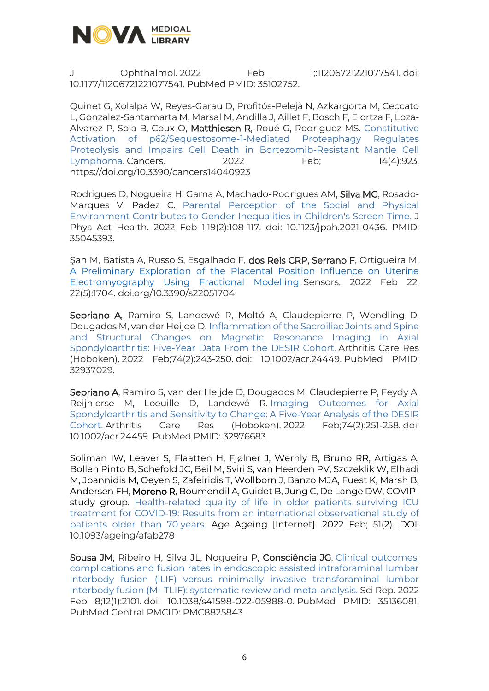

J Ophthalmol. 2022 Feb 1;:11206721221077541. doi: 10.1177/11206721221077541. PubMed PMID: 35102752.

Quinet G, Xolalpa W, Reyes-Garau D, Profitós-Pelejà N, Azkargorta M, Ceccato L, Gonzalez-Santamarta M, Marsal M, Andilla J, Aillet F, Bosch F, Elortza F, Loza-Alvarez P, Sola B, Coux O, Matthiesen R, Roué G, Rodriguez MS. [Constitutive](https://www.mdpi.com/2072-6694/14/4/923)  [Activation of p62/Sequestosome-1-Mediated Proteaphagy Regulates](https://www.mdpi.com/2072-6694/14/4/923)  [Proteolysis and Impairs Cell Death in Bortezomib-Resistant Mantle Cell](https://www.mdpi.com/2072-6694/14/4/923)  [Lymphoma.](https://www.mdpi.com/2072-6694/14/4/923) Cancers. 2022 Feb; 14(4):923. https://doi.org/10.3390/cancers14040923

Rodrigues D, Nogueira H, Gama A, Machado-Rodrigues AM, Silva MG, Rosado-Marques V, Padez C. Parental Perception [of the Social and Physical](https://journals.humankinetics.com/view/journals/jpah/19/2/article-p108.xml)  [Environment Contributes to Gender Inequalities in Children's Screen Time.](https://journals.humankinetics.com/view/journals/jpah/19/2/article-p108.xml) J Phys Act Health. 2022 Feb 1;19(2):108-117. doi: 10.1123/jpah.2021-0436. PMID: 35045393.

Şan M, Batista A, Russo S, Esgalhado F, dos Reis CRP, Serrano F, Ortigueira M. [A Preliminary Exploration of the Placental Position Influence on Uterine](https://www.mdpi.com/1424-8220/22/5/1704)  [Electromyography Using Fractional Modelling.](https://www.mdpi.com/1424-8220/22/5/1704) Sensors. 2022 Feb 22; 22(5):1704. doi.org/10.3390/s22051704

Sepriano A, Ramiro S, Landewé R, Moltó A, Claudepierre P, Wendling D, Dougados M, van der Heijde D. [Inflammation of the Sacroiliac Joints and Spine](https://www.ncbi.nlm.nih.gov/pubmed/32937029/)  [and Structural Changes on Magnetic Resonance Imaging in Axial](https://www.ncbi.nlm.nih.gov/pubmed/32937029/)  [Spondyloarthritis: Five-Year Data From the](https://www.ncbi.nlm.nih.gov/pubmed/32937029/) DESIR Cohort. Arthritis Care Res (Hoboken). 2022 Feb;74(2):243-250. doi: 10.1002/acr.24449. PubMed PMID: 32937029.

Sepriano A, Ramiro S, van der Heijde D, Dougados M, Claudepierre P, Feydy A, Reijnierse M, Loeuille D, Landewé R. [Imaging Outcomes for Axial](https://www.ncbi.nlm.nih.gov/pubmed/32976683/)  [Spondyloarthritis and Sensitivity to Change: A Five-Year Analysis of the DESIR](https://www.ncbi.nlm.nih.gov/pubmed/32976683/)  [Cohort.](https://www.ncbi.nlm.nih.gov/pubmed/32976683/) Arthritis Care Res (Hoboken). 2022 Feb;74(2):251-258. doi: 10.1002/acr.24459. PubMed PMID: 32976683.

Soliman IW, Leaver S, Flaatten H, Fjølner J, Wernly B, Bruno RR, Artigas A, Bollen Pinto B, Schefold JC, Beil M, Sviri S, van Heerden PV, Szczeklik W, Elhadi M, Joannidis M, Oeyen S, Zafeiridis T, Wollborn J, Banzo MJA, Fuest K, Marsh B, Andersen FH, Moreno R, Boumendil A, Guidet B, Jung C, De Lange DW, COVIPstudy group. [Health-related quality of life in older patients surviving ICU](https://academic.oup.com/ageing/article/51/2/afab278/6523677)  [treatment for COVID-19: Results from an international observational study of](https://academic.oup.com/ageing/article/51/2/afab278/6523677)  [patients older than 70](https://academic.oup.com/ageing/article/51/2/afab278/6523677) years. Age Ageing [Internet]. 2022 Feb; 51(2). DOI: 10.1093/ageing/afab278

Sousa JM, Ribeiro H, Silva JL, Nogueira P, Consciência JG. [Clinical outcomes,](https://www.ncbi.nlm.nih.gov/pubmed/35136081/)  [complications and fusion rates in endoscopic assisted intraforaminal lumbar](https://www.ncbi.nlm.nih.gov/pubmed/35136081/)  [interbody fusion \(iLIF\) versus minimally invasive transforaminal lumbar](https://www.ncbi.nlm.nih.gov/pubmed/35136081/)  [interbody fusion \(MI-TLIF\): systematic review and meta-analysis.](https://www.ncbi.nlm.nih.gov/pubmed/35136081/) Sci Rep. 2022 Feb 8;12(1):2101. doi: 10.1038/s41598-022-05988-0. PubMed PMID: 35136081; PubMed Central PMCID: PMC8825843.